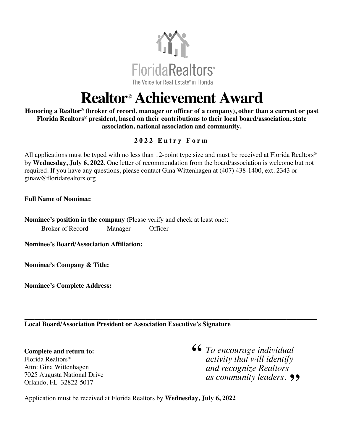

## **Realtor**® **Achievement Award**

**Honoring a Realtor® (broker of record, manager or officer of a company), other than a current or past Florida Realtors® president, based on their contributions to their local board/association, state association, national association and community.**

## **202 2 Entry Form**

All applications must be typed with no less than 12-point type size and must be received at Florida Realtors® by **Wednesday, July 6, 2022**. One letter of recommendation from the board/association is welcome but not required. If you have any questions, please contact Gina Wittenhagen at (407) 438-1400, ext. 2343 or ginaw@floridarealtors.org

**Full Name of Nominee:** 

**Nominee's position in the company** (Please verify and check at least one): Broker of Record Manager Officer

**Nominee's Board/Association Affiliation:**

**Nominee's Company & Title:** 

**Nominee's Complete Address:**

**\_\_\_\_\_\_\_\_\_\_\_\_\_\_\_\_\_\_\_\_\_\_\_\_\_\_\_\_\_\_\_\_\_\_\_\_\_\_\_\_\_\_\_\_\_\_\_\_\_\_\_\_\_\_\_\_\_\_\_\_\_\_\_\_\_\_\_\_\_\_\_\_\_\_\_\_\_\_\_\_\_\_\_\_\_\_\_ Local Board/Association President or Association Executive's Signature**

**Complete and return to:**  Florida Realtors® Attn: Gina Wittenhagen 7025 Augusta National Drive Orlando, FL 32822-5017

**66** To encourage individual activity that will identify *activity that will identify and recognize Realtors as community leaders.* **"**

Application must be received at Florida Realtors by **Wednesday, July 6, 2022**